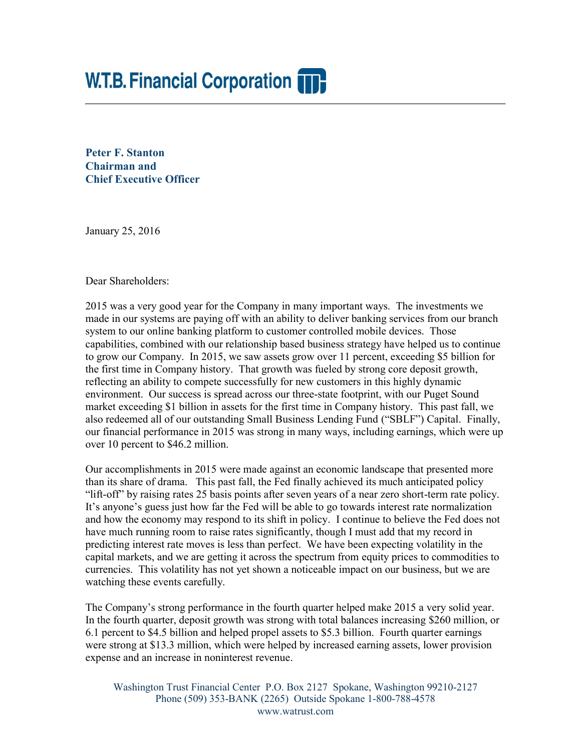# **W.T.B. Financial Corporation TT.**

**Peter F. Stanton Chairman and Chief Executive Officer** 

January 25, 2016

Dear Shareholders:

2015 was a very good year for the Company in many important ways. The investments we made in our systems are paying off with an ability to deliver banking services from our branch system to our online banking platform to customer controlled mobile devices. Those capabilities, combined with our relationship based business strategy have helped us to continue to grow our Company. In 2015, we saw assets grow over 11 percent, exceeding \$5 billion for the first time in Company history. That growth was fueled by strong core deposit growth, reflecting an ability to compete successfully for new customers in this highly dynamic environment. Our success is spread across our three-state footprint, with our Puget Sound market exceeding \$1 billion in assets for the first time in Company history. This past fall, we also redeemed all of our outstanding Small Business Lending Fund ("SBLF") Capital. Finally, our financial performance in 2015 was strong in many ways, including earnings, which were up over 10 percent to \$46.2 million.

Our accomplishments in 2015 were made against an economic landscape that presented more than its share of drama. This past fall, the Fed finally achieved its much anticipated policy "lift-off" by raising rates 25 basis points after seven years of a near zero short-term rate policy. It's anyone's guess just how far the Fed will be able to go towards interest rate normalization and how the economy may respond to its shift in policy. I continue to believe the Fed does not have much running room to raise rates significantly, though I must add that my record in predicting interest rate moves is less than perfect. We have been expecting volatility in the capital markets, and we are getting it across the spectrum from equity prices to commodities to currencies. This volatility has not yet shown a noticeable impact on our business, but we are watching these events carefully.

The Company's strong performance in the fourth quarter helped make 2015 a very solid year. In the fourth quarter, deposit growth was strong with total balances increasing \$260 million, or 6.1 percent to \$4.5 billion and helped propel assets to \$5.3 billion. Fourth quarter earnings were strong at \$13.3 million, which were helped by increased earning assets, lower provision expense and an increase in noninterest revenue.

Washington Trust Financial Center P.O. Box 2127 Spokane, Washington 99210-2127 Phone (509) 353-BANK (2265) Outside Spokane 1-800-788-4578 www.watrust.com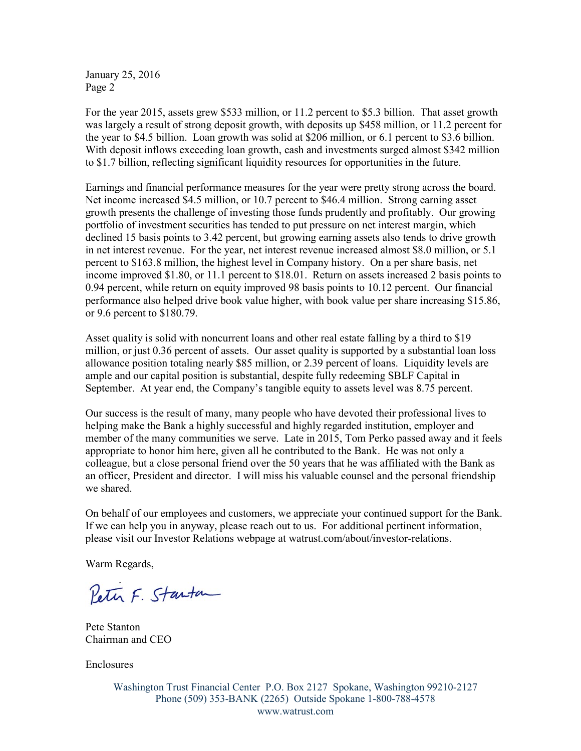January 25, 2016 Page 2

For the year 2015, assets grew \$533 million, or 11.2 percent to \$5.3 billion. That asset growth was largely a result of strong deposit growth, with deposits up \$458 million, or 11.2 percent for the year to \$4.5 billion. Loan growth was solid at \$206 million, or 6.1 percent to \$3.6 billion. With deposit inflows exceeding loan growth, cash and investments surged almost \$342 million to \$1.7 billion, reflecting significant liquidity resources for opportunities in the future.

Earnings and financial performance measures for the year were pretty strong across the board. Net income increased \$4.5 million, or 10.7 percent to \$46.4 million. Strong earning asset growth presents the challenge of investing those funds prudently and profitably. Our growing portfolio of investment securities has tended to put pressure on net interest margin, which declined 15 basis points to 3.42 percent, but growing earning assets also tends to drive growth in net interest revenue. For the year, net interest revenue increased almost \$8.0 million, or 5.1 percent to \$163.8 million, the highest level in Company history. On a per share basis, net income improved \$1.80, or 11.1 percent to \$18.01. Return on assets increased 2 basis points to 0.94 percent, while return on equity improved 98 basis points to 10.12 percent. Our financial performance also helped drive book value higher, with book value per share increasing \$15.86, or 9.6 percent to \$180.79.

Asset quality is solid with noncurrent loans and other real estate falling by a third to \$19 million, or just 0.36 percent of assets. Our asset quality is supported by a substantial loan loss allowance position totaling nearly \$85 million, or 2.39 percent of loans. Liquidity levels are ample and our capital position is substantial, despite fully redeeming SBLF Capital in September. At year end, the Company's tangible equity to assets level was 8.75 percent.

Our success is the result of many, many people who have devoted their professional lives to helping make the Bank a highly successful and highly regarded institution, employer and member of the many communities we serve. Late in 2015, Tom Perko passed away and it feels appropriate to honor him here, given all he contributed to the Bank. He was not only a colleague, but a close personal friend over the 50 years that he was affiliated with the Bank as an officer, President and director. I will miss his valuable counsel and the personal friendship we shared.

On behalf of our employees and customers, we appreciate your continued support for the Bank. If we can help you in anyway, please reach out to us. For additional pertinent information, please visit our Investor Relations webpage at watrust.com/about/investor-relations.

Warm Regards,

Peter F. Starton

Pete Stanton Chairman and CEO

**Enclosures** 

Washington Trust Financial Center P.O. Box 2127 Spokane, Washington 99210-2127 Phone (509) 353-BANK (2265) Outside Spokane 1-800-788-4578 www.watrust.com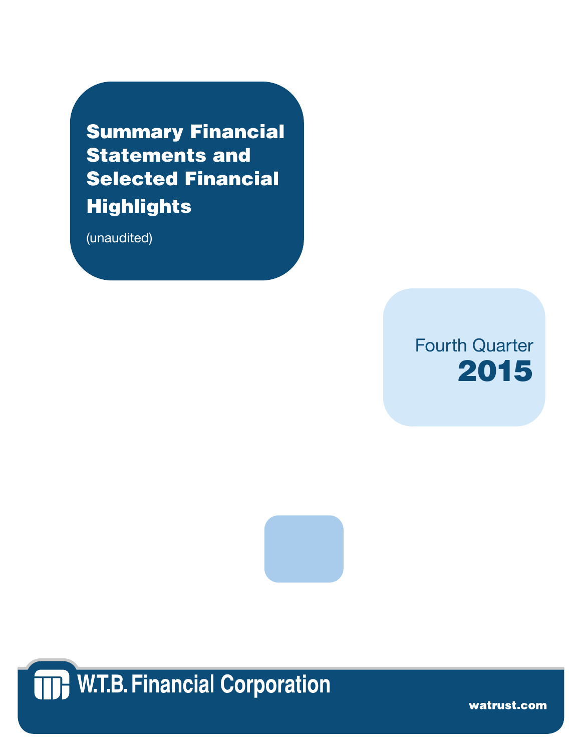Summary Financial Statements and Selected Financial **Highlights** 

(unaudited)







watrust.com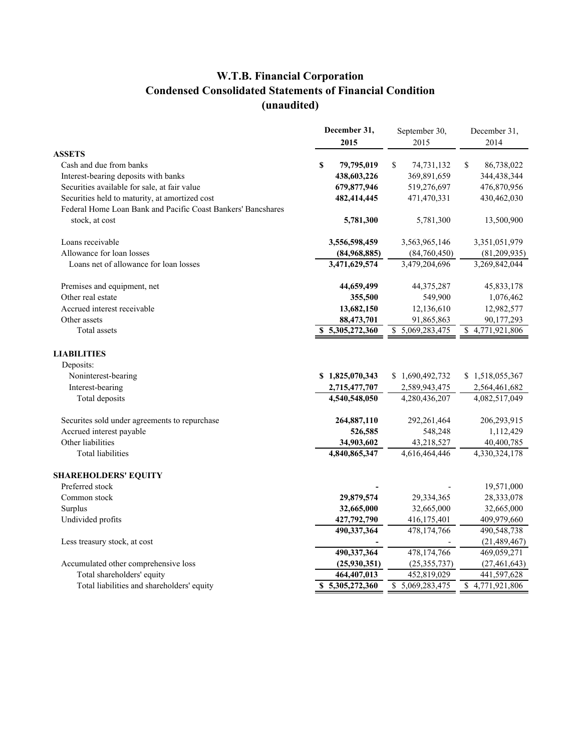## **W.T.B. Financial Corporation Condensed Consolidated Statements of Financial Condition (unaudited)**

|                                                              | December 31,<br>2015       | September 30,<br>2015 | December 31,<br>2014             |
|--------------------------------------------------------------|----------------------------|-----------------------|----------------------------------|
| <b>ASSETS</b>                                                |                            |                       |                                  |
| Cash and due from banks                                      | S<br>79,795,019            | \$<br>74,731,132      | \$<br>86,738,022                 |
| Interest-bearing deposits with banks                         | 438,603,226                | 369,891,659           | 344,438,344                      |
| Securities available for sale, at fair value                 | 679,877,946                | 519,276,697           | 476,870,956                      |
| Securities held to maturity, at amortized cost               | 482,414,445                | 471,470,331           | 430,462,030                      |
| Federal Home Loan Bank and Pacific Coast Bankers' Bancshares |                            |                       |                                  |
| stock, at cost                                               | 5,781,300                  | 5,781,300             | 13,500,900                       |
| Loans receivable                                             | 3,556,598,459              | 3,563,965,146         | 3,351,051,979                    |
| Allowance for loan losses                                    | (84,968,885)               | (84,760,450)          | (81, 209, 935)                   |
| Loans net of allowance for loan losses                       | 3,471,629,574              | 3,479,204,696         | 3,269,842,044                    |
| Premises and equipment, net                                  | 44,659,499                 | 44, 375, 287          | 45,833,178                       |
| Other real estate                                            | 355,500                    | 549,900               | 1,076,462                        |
| Accrued interest receivable                                  | 13,682,150                 | 12,136,610            | 12,982,577                       |
| Other assets                                                 | 88,473,701                 | 91,865,863            | 90,177,293                       |
| Total assets                                                 | 5,305,272,360              | 5,069,283,475<br>\$   | $\overline{4,771,921,806}$<br>\$ |
| <b>LIABILITIES</b>                                           |                            |                       |                                  |
| Deposits:                                                    |                            |                       |                                  |
| Noninterest-bearing                                          | \$1,825,070,343            | \$1,690,492,732       | \$1,518,055,367                  |
| Interest-bearing                                             | 2,715,477,707              | 2,589,943,475         | 2,564,461,682                    |
| Total deposits                                               | 4,540,548,050              | 4,280,436,207         | 4,082,517,049                    |
| Securites sold under agreements to repurchase                | 264,887,110                | 292,261,464           | 206,293,915                      |
| Accrued interest payable                                     | 526,585                    | 548,248               | 1,112,429                        |
| Other liabilities                                            | 34,903,602                 | 43,218,527            | 40,400,785                       |
| <b>Total liabilities</b>                                     | 4,840,865,347              | 4,616,464,446         | 4,330,324,178                    |
| <b>SHAREHOLDERS' EQUITY</b>                                  |                            |                       |                                  |
| Preferred stock                                              |                            |                       | 19,571,000                       |
| Common stock                                                 | 29,879,574                 | 29,334,365            | 28,333,078                       |
| Surplus                                                      | 32,665,000                 | 32,665,000            | 32,665,000                       |
| Undivided profits                                            | 427,792,790                | 416,175,401           | 409,979,660                      |
|                                                              | 490,337,364                | 478,174,766           | 490,548,738                      |
| Less treasury stock, at cost                                 |                            |                       | (21, 489, 467)                   |
|                                                              | 490,337,364                | 478,174,766           | 469,059,271                      |
| Accumulated other comprehensive loss                         | (25,930,351)               | (25, 355, 737)        | (27, 461, 643)                   |
| Total shareholders' equity                                   | 464,407,013                | 452,819,029           | 441,597,628                      |
| Total liabilities and shareholders' equity                   | $\overline{5,305,272,360}$ | \$5,069,283,475       | \$4,771,921,806                  |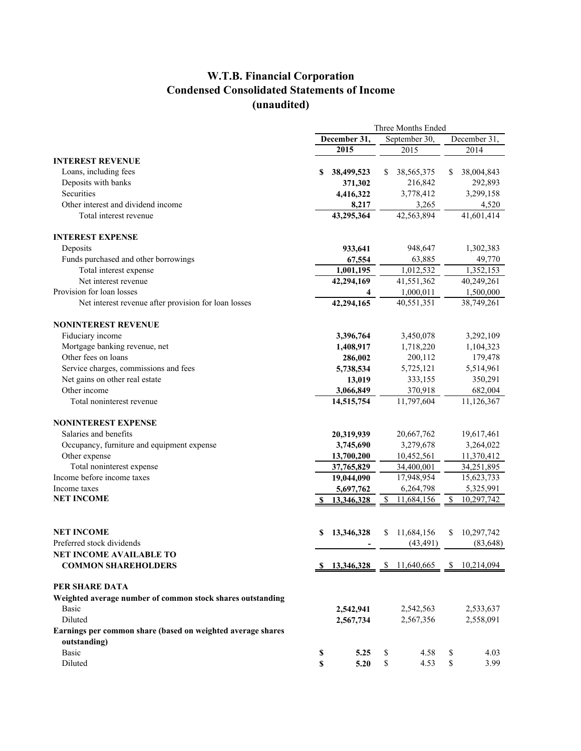### **W.T.B. Financial Corporation Condensed Consolidated Statements of Income (unaudited)**

|                                                                             | Three Months Ended |            |    |                                                                         |              |            |  |
|-----------------------------------------------------------------------------|--------------------|------------|----|-------------------------------------------------------------------------|--------------|------------|--|
|                                                                             | December 31,       |            |    | September 30,                                                           | December 31, |            |  |
|                                                                             |                    | 2015       |    | 2015                                                                    |              | 2014       |  |
| <b>INTEREST REVENUE</b>                                                     |                    |            |    |                                                                         |              |            |  |
| Loans, including fees                                                       | S                  | 38,499,523 | \$ | 38, 565, 375                                                            | S            | 38,004,843 |  |
| Deposits with banks                                                         |                    | 371,302    |    | 216,842                                                                 |              | 292,893    |  |
| Securities                                                                  |                    | 4,416,322  |    | 3,778,412                                                               |              | 3,299,158  |  |
| Other interest and dividend income                                          |                    | 8,217      |    | 3,265                                                                   |              | 4,520      |  |
| Total interest revenue                                                      |                    | 43,295,364 |    | 42,563,894                                                              |              | 41,601,414 |  |
| <b>INTEREST EXPENSE</b>                                                     |                    |            |    |                                                                         |              |            |  |
| Deposits                                                                    |                    | 933,641    |    | 948,647                                                                 |              | 1,302,383  |  |
| Funds purchased and other borrowings                                        |                    | 67,554     |    | 63,885                                                                  |              | 49,770     |  |
| Total interest expense                                                      |                    | 1,001,195  |    | $\overline{1,}012,532$                                                  |              | 1,352,153  |  |
| Net interest revenue                                                        |                    | 42,294,169 |    | 41,551,362                                                              |              | 40,249,261 |  |
| Provision for loan losses                                                   |                    | 4          |    | 1,000,011                                                               |              | 1,500,000  |  |
| Net interest revenue after provision for loan losses                        |                    | 42,294,165 |    | 40,551,351                                                              |              | 38,749,261 |  |
| <b>NONINTEREST REVENUE</b>                                                  |                    |            |    |                                                                         |              |            |  |
| Fiduciary income                                                            |                    | 3,396,764  |    | 3,450,078                                                               |              | 3,292,109  |  |
| Mortgage banking revenue, net                                               |                    | 1,408,917  |    | 1,718,220                                                               |              | 1,104,323  |  |
| Other fees on loans                                                         |                    | 286,002    |    | 200,112                                                                 |              | 179,478    |  |
| Service charges, commissions and fees                                       |                    | 5,738,534  |    | 5,725,121                                                               |              | 5,514,961  |  |
| Net gains on other real estate                                              |                    | 13,019     |    | 333,155                                                                 |              | 350,291    |  |
| Other income                                                                |                    | 3,066,849  |    | 370,918                                                                 |              | 682,004    |  |
| Total noninterest revenue                                                   |                    | 14,515,754 |    | 11,797,604                                                              |              | 11,126,367 |  |
| <b>NONINTEREST EXPENSE</b>                                                  |                    |            |    |                                                                         |              |            |  |
| Salaries and benefits                                                       |                    | 20,319,939 |    | 20,667,762                                                              |              | 19,617,461 |  |
| Occupancy, furniture and equipment expense                                  |                    | 3,745,690  |    | 3,279,678                                                               |              | 3,264,022  |  |
| Other expense                                                               |                    | 13,700,200 |    | 10,452,561                                                              |              | 11,370,412 |  |
| Total noninterest expense                                                   |                    | 37,765,829 |    | 34,400,001                                                              |              | 34,251,895 |  |
| Income before income taxes                                                  |                    | 19,044,090 |    | 17,948,954                                                              |              | 15,623,733 |  |
| Income taxes                                                                |                    | 5,697,762  |    | 6,264,798                                                               |              | 5,325,991  |  |
| <b>NET INCOME</b>                                                           |                    | 13,346,328 | \$ | 11,684,156                                                              | \$           | 10,297,742 |  |
|                                                                             |                    |            |    |                                                                         |              |            |  |
| <b>NET INCOME</b>                                                           | S                  | 13,346,328 | S  | 11,684,156                                                              | S            | 10,297,742 |  |
| Preferred stock dividends                                                   |                    |            |    | (43, 491)                                                               |              | (83, 648)  |  |
| NET INCOME AVAILABLE TO                                                     |                    |            |    |                                                                         |              |            |  |
| <b>COMMON SHAREHOLDERS</b>                                                  |                    |            |    | $\frac{\$}{13,346,328}$ $\frac{\$}{11,640,665}$ $\frac{\$}{10,214,094}$ |              |            |  |
| PER SHARE DATA                                                              |                    |            |    |                                                                         |              |            |  |
| Weighted average number of common stock shares outstanding                  |                    |            |    |                                                                         |              |            |  |
| Basic                                                                       |                    | 2,542,941  |    | 2,542,563                                                               |              | 2,533,637  |  |
| Diluted                                                                     |                    | 2,567,734  |    | 2,567,356                                                               |              | 2,558,091  |  |
| Earnings per common share (based on weighted average shares<br>outstanding) |                    |            |    |                                                                         |              |            |  |
| <b>Basic</b>                                                                | \$                 | 5.25       | \$ | 4.58                                                                    | \$           | 4.03       |  |
| Diluted                                                                     | \$                 | 5.20       | \$ | 4.53                                                                    | \$           | 3.99       |  |
|                                                                             |                    |            |    |                                                                         |              |            |  |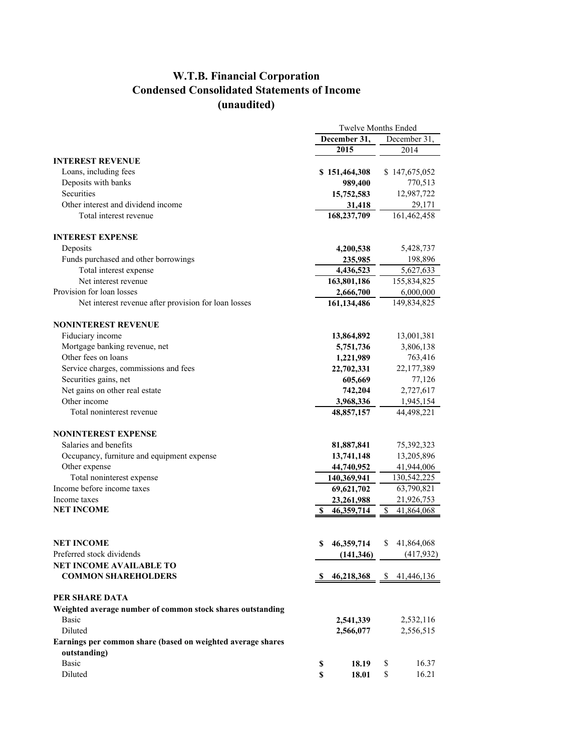## **W.T.B. Financial Corporation Condensed Consolidated Statements of Income (unaudited)**

|                                                                             | <b>Twelve Months Ended</b> |                             |    |               |  |  |
|-----------------------------------------------------------------------------|----------------------------|-----------------------------|----|---------------|--|--|
|                                                                             |                            | December 31,                |    | December 31.  |  |  |
|                                                                             |                            | 2015                        |    | 2014          |  |  |
| <b>INTEREST REVENUE</b>                                                     |                            |                             |    |               |  |  |
| Loans, including fees                                                       |                            | \$151,464,308               |    | \$147,675,052 |  |  |
| Deposits with banks                                                         |                            | 989,400                     |    | 770,513       |  |  |
| Securities                                                                  |                            | 15,752,583                  |    | 12,987,722    |  |  |
| Other interest and dividend income                                          |                            | 31,418                      |    | 29,171        |  |  |
| Total interest revenue                                                      |                            | 168,237,709                 |    | 161,462,458   |  |  |
| <b>INTEREST EXPENSE</b>                                                     |                            |                             |    |               |  |  |
| Deposits                                                                    |                            | 4,200,538                   |    | 5,428,737     |  |  |
| Funds purchased and other borrowings                                        |                            | 235,985                     |    | 198,896       |  |  |
| Total interest expense                                                      |                            | 4,436,523                   |    | 5,627,633     |  |  |
| Net interest revenue                                                        |                            | 163,801,186                 |    | 155,834,825   |  |  |
| Provision for loan losses                                                   |                            | 2,666,700                   |    | 6,000,000     |  |  |
| Net interest revenue after provision for loan losses                        |                            | 161,134,486                 |    | 149,834,825   |  |  |
| <b>NONINTEREST REVENUE</b>                                                  |                            |                             |    |               |  |  |
| Fiduciary income                                                            |                            | 13,864,892                  |    | 13,001,381    |  |  |
| Mortgage banking revenue, net                                               |                            | 5,751,736                   |    | 3,806,138     |  |  |
| Other fees on loans                                                         |                            | 1,221,989                   |    | 763,416       |  |  |
| Service charges, commissions and fees                                       |                            | 22,702,331                  |    | 22,177,389    |  |  |
| Securities gains, net                                                       |                            | 605,669                     |    | 77,126        |  |  |
| Net gains on other real estate                                              |                            | 742,204                     |    | 2,727,617     |  |  |
| Other income                                                                |                            | 3,968,336                   |    | 1,945,154     |  |  |
| Total noninterest revenue                                                   |                            | 48,857,157                  |    | 44,498,221    |  |  |
| <b>NONINTEREST EXPENSE</b>                                                  |                            |                             |    |               |  |  |
| Salaries and benefits                                                       |                            | 81,887,841                  |    | 75,392,323    |  |  |
| Occupancy, furniture and equipment expense                                  |                            | 13,741,148                  |    | 13,205,896    |  |  |
| Other expense                                                               |                            | 44,740,952                  |    | 41,944,006    |  |  |
| Total noninterest expense                                                   |                            | 140,369,941                 |    | 130,542,225   |  |  |
| Income before income taxes                                                  |                            | 69,621,702                  |    | 63,790,821    |  |  |
| Income taxes                                                                |                            | 23,261,988                  |    | 21,926,753    |  |  |
| <b>NET INCOME</b>                                                           | S                          | 46, 359, 714                | \$ | 41,864,068    |  |  |
|                                                                             |                            |                             |    |               |  |  |
| NET INCOME                                                                  | \$                         | 46,359,714                  | \$ | 41,864,068    |  |  |
| Preferred stock dividends                                                   |                            | (141, 346)                  |    | (417,932)     |  |  |
| <b>NET INCOME AVAILABLE TO</b>                                              |                            |                             |    |               |  |  |
| <b>COMMON SHAREHOLDERS</b>                                                  |                            | $$46,218,368$ $$41,446,136$ |    |               |  |  |
| PER SHARE DATA                                                              |                            |                             |    |               |  |  |
| Weighted average number of common stock shares outstanding                  |                            |                             |    |               |  |  |
| Basic                                                                       |                            | 2,541,339                   |    | 2,532,116     |  |  |
| Diluted                                                                     |                            | 2,566,077                   |    | 2,556,515     |  |  |
| Earnings per common share (based on weighted average shares<br>outstanding) |                            |                             |    |               |  |  |
| <b>Basic</b>                                                                | \$                         | 18.19                       | \$ | 16.37         |  |  |
| Diluted                                                                     | \$                         | 18.01                       | \$ | 16.21         |  |  |
|                                                                             |                            |                             |    |               |  |  |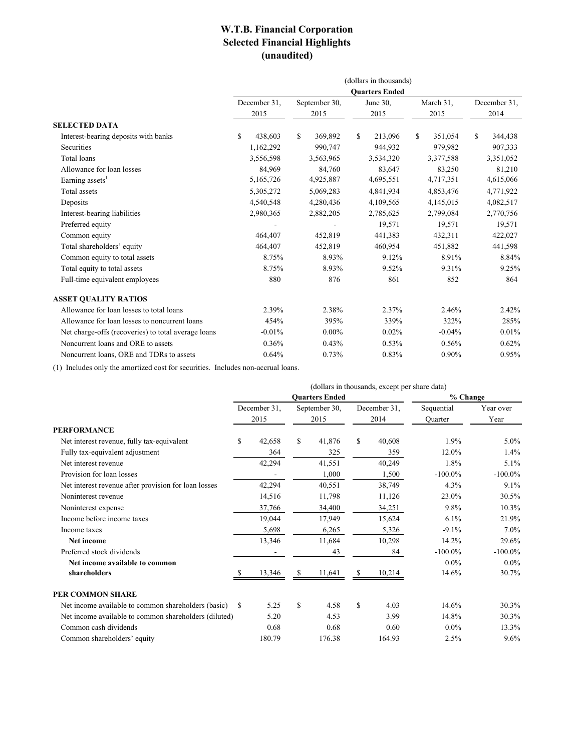#### **W.T.B. Financial Corporation Selected Financial Highlights (unaudited)**

|                                                     | (dollars in thousands) |           |               |           |          |           |           |           |    |              |
|-----------------------------------------------------|------------------------|-----------|---------------|-----------|----------|-----------|-----------|-----------|----|--------------|
| <b>Ouarters Ended</b>                               |                        |           |               |           |          |           |           |           |    |              |
|                                                     | December 31.           |           | September 30, |           | June 30, |           | March 31. |           |    | December 31. |
|                                                     |                        | 2015      |               | 2015      |          | 2015      |           | 2015      |    | 2014         |
| <b>SELECTED DATA</b>                                |                        |           |               |           |          |           |           |           |    |              |
| Interest-bearing deposits with banks                | S                      | 438,603   | \$            | 369,892   | \$       | 213,096   | \$        | 351,054   | \$ | 344,438      |
| Securities                                          |                        | 1,162,292 |               | 990,747   |          | 944,932   |           | 979,982   |    | 907,333      |
| Total loans                                         |                        | 3,556,598 |               | 3,563,965 |          | 3,534,320 |           | 3,377,588 |    | 3,351,052    |
| Allowance for loan losses                           |                        | 84,969    |               | 84,760    |          | 83,647    |           | 83,250    |    | 81,210       |
| Earning assets <sup>1</sup>                         |                        | 5,165,726 |               | 4,925,887 |          | 4,695,551 |           | 4,717,351 |    | 4,615,066    |
| Total assets                                        |                        | 5,305,272 |               | 5,069,283 |          | 4,841,934 |           | 4,853,476 |    | 4,771,922    |
| Deposits                                            |                        | 4,540,548 |               | 4,280,436 |          | 4,109,565 |           | 4,145,015 |    | 4,082,517    |
| Interest-bearing liabilities                        |                        | 2,980,365 |               | 2,882,205 |          | 2,785,625 |           | 2,799,084 |    | 2,770,756    |
| Preferred equity                                    |                        |           |               |           |          | 19,571    |           | 19,571    |    | 19,571       |
| Common equity                                       |                        | 464,407   |               | 452,819   |          | 441,383   |           | 432,311   |    | 422,027      |
| Total shareholders' equity                          |                        | 464,407   |               | 452,819   |          | 460,954   |           | 451,882   |    | 441,598      |
| Common equity to total assets                       |                        | 8.75%     |               | 8.93%     |          | 9.12%     |           | 8.91%     |    | 8.84%        |
| Total equity to total assets                        |                        | 8.75%     |               | 8.93%     |          | 9.52%     |           | 9.31%     |    | 9.25%        |
| Full-time equivalent employees                      |                        | 880       |               | 876       |          | 861       |           | 852       |    | 864          |
| <b>ASSET QUALITY RATIOS</b>                         |                        |           |               |           |          |           |           |           |    |              |
| Allowance for loan losses to total loans            |                        | 2.39%     |               | 2.38%     |          | 2.37%     |           | 2.46%     |    | 2.42%        |
| Allowance for loan losses to noncurrent loans       |                        | 454%      |               | 395%      |          | 339%      |           | 322%      |    | 285%         |
| Net charge-offs (recoveries) to total average loans |                        | $-0.01%$  |               | $0.00\%$  |          | 0.02%     |           | $-0.04%$  |    | 0.01%        |
| Noncurrent loans and ORE to assets                  |                        | 0.36%     |               | 0.43%     |          | 0.53%     |           | 0.56%     |    | 0.62%        |
| Noncurrent loans, ORE and TDRs to assets            |                        | 0.64%     |               | 0.73%     |          | 0.83%     |           | 0.90%     |    | 0.95%        |

(1) Includes only the amortized cost for securities. Includes non-accrual loans.

|                                                       | (dollars in thousands, except per share data) |              |               |        |              |          |            |            |
|-------------------------------------------------------|-----------------------------------------------|--------------|---------------|--------|--------------|----------|------------|------------|
|                                                       | <b>Ouarters Ended</b>                         |              |               |        |              | % Change |            |            |
|                                                       |                                               | December 31, | September 30, |        | December 31, |          | Sequential | Year over  |
|                                                       |                                               | 2015         |               | 2015   |              | 2014     | Ouarter    | Year       |
| <b>PERFORMANCE</b>                                    |                                               |              |               |        |              |          |            |            |
| Net interest revenue, fully tax-equivalent            | \$.                                           | 42,658       | \$            | 41,876 | $\mathbf S$  | 40,608   | 1.9%       | 5.0%       |
| Fully tax-equivalent adjustment                       |                                               | 364          |               | 325    |              | 359      | 12.0%      | 1.4%       |
| Net interest revenue                                  |                                               | 42,294       |               | 41,551 |              | 40,249   | 1.8%       | 5.1%       |
| Provision for loan losses                             |                                               |              |               | 1.000  |              | 1,500    | $-100.0\%$ | $-100.0\%$ |
| Net interest revenue after provision for loan losses  |                                               | 42,294       |               | 40,551 |              | 38,749   | 4.3%       | 9.1%       |
| Noninterest revenue                                   |                                               | 14,516       |               | 11,798 |              | 11,126   | 23.0%      | 30.5%      |
| Noninterest expense                                   |                                               | 37,766       |               | 34,400 |              | 34,251   | 9.8%       | 10.3%      |
| Income before income taxes                            |                                               | 19,044       |               | 17,949 |              | 15,624   | 6.1%       | 21.9%      |
| Income taxes                                          |                                               | 5,698        |               | 6,265  |              | 5,326    | $-9.1%$    | $7.0\%$    |
| Net income                                            |                                               | 13,346       |               | 11,684 |              | 10,298   | 14.2%      | 29.6%      |
| Preferred stock dividends                             |                                               |              |               | 43     |              | 84       | $-100.0\%$ | $-100.0\%$ |
| Net income available to common                        |                                               |              |               |        |              |          | $0.0\%$    | $0.0\%$    |
| shareholders                                          |                                               | 13,346       |               | 11,641 | S            | 10,214   | 14.6%      | 30.7%      |
| <b>PER COMMON SHARE</b>                               |                                               |              |               |        |              |          |            |            |
| Net income available to common shareholders (basic)   | S                                             | 5.25         | \$            | 4.58   | $\mathbf S$  | 4.03     | 14.6%      | 30.3%      |
| Net income available to common shareholders (diluted) |                                               | 5.20         |               | 4.53   |              | 3.99     | 14.8%      | 30.3%      |
| Common cash dividends                                 |                                               | 0.68         |               | 0.68   |              | 0.60     | $0.0\%$    | 13.3%      |
| Common shareholders' equity                           |                                               | 180.79       |               | 176.38 |              | 164.93   | 2.5%       | 9.6%       |